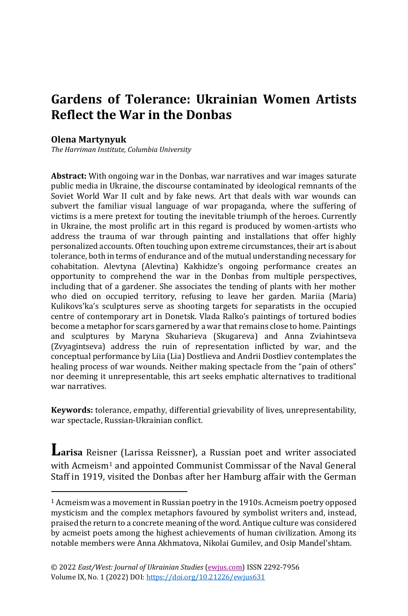# **Gardens of Tolerance: Ukrainian Women Artists Reflect the War in the Donbas**

#### **Olena Martynyuk**

*The Harriman Institute, Columbia University*

**Abstract:** With ongoing war in the Donbas, war narratives and war images saturate public media in Ukraine, the discourse contaminated by ideological remnants of the Soviet World War II cult and by fake news. Art that deals with war wounds can subvert the familiar visual language of war propaganda, where the suffering of victims is a mere pretext for touting the inevitable triumph of the heroes. Currently in Ukraine, the most prolific art in this regard is produced by women-artists who address the trauma of war through painting and installations that offer highly personalized accounts. Often touching upon extreme circumstances, their art is about tolerance, both in terms of endurance and of the mutual understanding necessary for cohabitation. Alevtyna (Alevtina) Kakhidze's ongoing performance creates an opportunity to comprehend the war in the Donbas from multiple perspectives, including that of a gardener. She associates the tending of plants with her mother who died on occupied territory, refusing to leave her garden. Mariia (Maria) Kulikovs'ka's sculptures serve as shooting targets for separatists in the occupied centre of contemporary art in Donetsk. Vlada Ralko's paintings of tortured bodies become a metaphor for scars garnered by a war that remains close to home. Paintings and sculptures by Maryna Skuharieva (Skugareva) and Anna Zviahintseva (Zvyagintseva) address the ruin of representation inflicted by war, and the conceptual performance by Liia (Lia) Dostlieva and Andrii Dostliev contemplates the healing process of war wounds. Neither making spectacle from the "pain of others" nor deeming it unrepresentable, this art seeks emphatic alternatives to traditional war narratives.

**Keywords:** tolerance, empathy, differential grievability of lives, unrepresentability, war spectacle, Russian-Ukrainian conflict.

**Larisa** Reisner (Larissa Reissner), a Russian poet and writer associated with Acmeism<sup>1</sup> and appointed Communist Commissar of the Naval General Staff in 1919, visited the Donbas after her Hamburg affair with the German

<sup>&</sup>lt;sup>1</sup> Acmeism was a movement in Russian poetry in the 1910s. Acmeism poetry opposed mysticism and the complex metaphors favoured by symbolist writers and, instead, praised the return to a concrete meaning of the word. Antique culture was considered by acmeist poets among the highest achievements of human civilization. Among its notable members were Anna Akhmatova, Nikolai Gumilev, and Osip Mandel'shtam.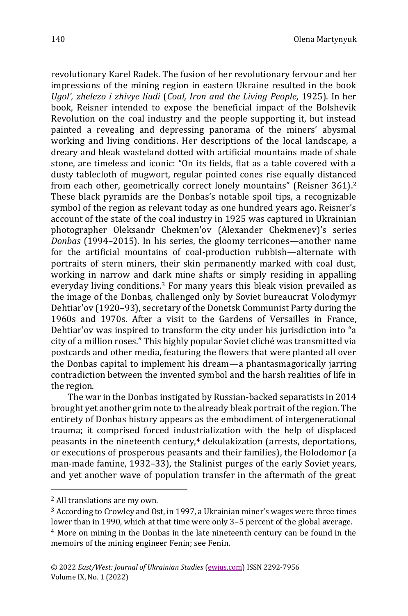revolutionary Karel Radek. The fusion of her revolutionary fervour and her impressions of the mining region in eastern Ukraine resulted in the book *Ugol', zhelezo i zhivye liudi* (*Coal, Iron and the Living People,* 1925). In her book, Reisner intended to expose the beneficial impact of the Bolshevik Revolution on the coal industry and the people supporting it, but instead painted a revealing and depressing panorama of the miners' abysmal working and living conditions. Her descriptions of the local landscape, a dreary and bleak wasteland dotted with artificial mountains made of shale stone, are timeless and iconic: "On its fields, flat as a table covered with a dusty tablecloth of mugwort, regular pointed cones rise equally distanced from each other, geometrically correct lonely mountains" (Reisner 361).<sup>2</sup> These black pyramids are the Donbas's notable spoil tips, a recognizable symbol of the region as relevant today as one hundred years ago. Reisner's account of the state of the coal industry in 1925 was captured in Ukrainian photographer Oleksandr Chekmen'ov (Alexander Chekmenev)'s series *Donbas* (1994–2015). In his series, the gloomy terricones—another name for the artificial mountains of coal-production rubbish—alternate with portraits of stern miners, their skin permanently marked with coal dust, working in narrow and dark mine shafts or simply residing in appalling everyday living conditions.<sup>3</sup> For many years this bleak vision prevailed as the image of the Donbas, challenged only by Soviet bureaucrat Volodymyr Dehtiar'ov (1920–93), secretary of the Donetsk Communist Party during the 1960s and 1970s. After a visit to the Gardens of Versailles in France, Dehtiar'ov was inspired to transform the city under his jurisdiction into "a city of a million roses." This highly popular Soviet cliché was transmitted via postcards and other media, featuring the flowers that were planted all over the Donbas capital to implement his dream—a phantasmagorically jarring contradiction between the invented symbol and the harsh realities of life in

The war in the Donbas instigated by Russian-backed separatists in 2014 brought yet another grim note to the already bleak portrait of the region. The entirety of Donbas history appears as the embodiment of intergenerational trauma; it comprised forced industrialization with the help of displaced peasants in the nineteenth century, $4$  dekulakization (arrests, deportations, or executions of prosperous peasants and their families), the Holodomor (a man-made famine, 1932–33), the Stalinist purges of the early Soviet years, and yet another wave of population transfer in the aftermath of the great

the region.

<sup>2</sup> All translations are my own.

<sup>3</sup> According to Crowley and Ost, in 1997, a Ukrainian miner's wages were three times lower than in 1990, which at that time were only 3–5 percent of the global average.

<sup>4</sup> More on mining in the Donbas in the late nineteenth century can be found in the memoirs of the mining engineer Fenin; see Fenin.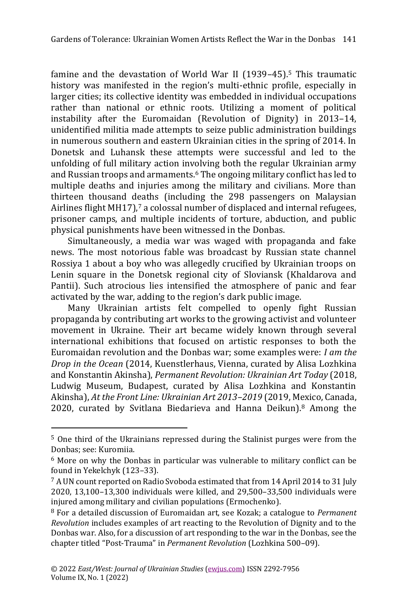famine and the devastation of World War II (1939–45).<sup>5</sup> This traumatic history was manifested in the region's multi-ethnic profile, especially in larger cities; its collective identity was embedded in individual occupations rather than national or ethnic roots. Utilizing a moment of political instability after the Euromaidan (Revolution of Dignity) in 2013–14, unidentified militia made attempts to seize public administration buildings in numerous southern and eastern Ukrainian cities in the spring of 2014. In Donetsk and Luhansk these attempts were successful and led to the unfolding of full military action involving both the regular Ukrainian army and Russian troops and armaments.<sup>6</sup> The ongoing military conflict has led to multiple deaths and injuries among the military and civilians. More than thirteen thousand deaths (including the 298 passengers on Malaysian Airlines flight MH17),<sup>7</sup> a colossal number of displaced and internal refugees, prisoner camps, and multiple incidents of torture, abduction, and public physical punishments have been witnessed in the Donbas.

Simultaneously, a media war was waged with propaganda and fake news. The most notorious fable was broadcast by Russian state channel Rossiya 1 about a boy who was allegedly crucified by Ukrainian troops on Lenin square in the Donetsk regional city of Sloviansk (Khaldarova and Pantii). Such atrocious lies intensified the atmosphere of panic and fear activated by the war, adding to the region's dark public image.

Many Ukrainian artists felt compelled to openly fight Russian propaganda by contributing art works to the growing activist and volunteer movement in Ukraine. Their art became widely known through several international exhibitions that focused on artistic responses to both the Euromaidan revolution and the Donbas war; some examples were: *I am the Drop in the Ocean* (2014, Kuenstlerhaus, Vienna, curated by Alisa Lozhkina and Konstantin Akinsha), *Permanent Revolution: Ukrainian Art Today* (2018, Ludwig Museum, Budapest, curated by Alisa Lozhkina and Konstantin Akinsha), *At the Front Line: Ukrainian Art 2013–2019* (2019, Mexico, Canada, 2020, curated by Svitlana Biedarieva and Hanna Deikun).<sup>8</sup> Among the

<sup>5</sup> One third of the Ukrainians repressed during the Stalinist purges were from the Donbas; see: Kuromiia.

<sup>6</sup> More on why the Donbas in particular was vulnerable to military conflict can be found in Yekelchyk (123–33).

<sup>7</sup> A UN count reported on Radio Svoboda estimated that from 14 April 2014 to 31 July 2020, 13,100–13,300 individuals were killed, and 29,500–33,500 individuals were injured among military and civilian populations (Ermochenko).

<sup>8</sup> For a detailed discussion of Euromaidan art, see Kozak; a catalogue to *Permanent Revolution* includes examples of art reacting to the Revolution of Dignity and to the Donbas war. Also, for a discussion of art responding to the war in the Donbas, see the chapter titled "Post-Trauma" in *Permanent Revolution* (Lozhkina 500–09).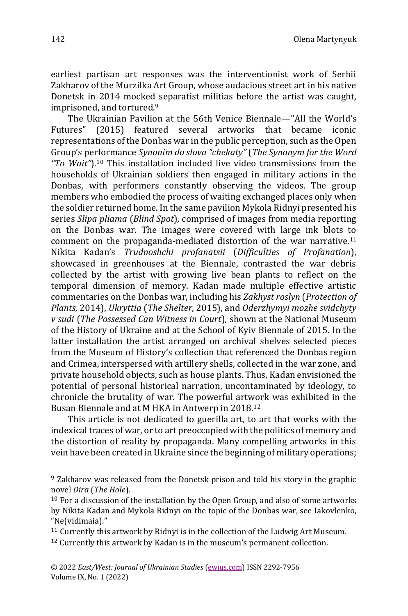earliest partisan art responses was the interventionist work of Serhii Zakharov of the Murzilka Art Group, whose audacious street art in his native Donetsk in 2014 mocked separatist militias before the artist was caught, imprisoned, and tortured.<sup>9</sup>

The Ukrainian Pavilion at the 56th Venice Biennale—"All the World's Futures" (2015) featured several artworks that became iconic representations of the Donbas war in the public perception, such as the Open Group's performance *Synonim do slova "chekaty"* (*The Synonym for the Word "To Wait"*)*.* <sup>10</sup> This installation included live video transmissions from the households of Ukrainian soldiers then engaged in military actions in the Donbas, with performers constantly observing the videos. The group members who embodied the process of waiting exchanged places only when the soldier returned home. In the same pavilion Mykola Ridnyi presented his series *Slipa pliama* (*Blind Spot*)*,* comprised of images from media reporting on the Donbas war. The images were covered with large ink blots to comment on the propaganda-mediated distortion of the war narrative.<sup>11</sup> Nikita Kadan's *Trudnoshchi profanatsii* (*Difficulties of Profanation*), showcased in greenhouses at the Biennale, contrasted the war debris collected by the artist with growing live bean plants to reflect on the temporal dimension of memory. Kadan made multiple effective artistic commentaries on the Donbas war, including his *Zakhyst roslyn* (*Protection of Plants,* 2014), *Ukryttia* (*The Shelter*, 2015), and *Oderzhymyi mozhe svidchyty v sudi* (*The Possessed Can Witness in Court*)*,* shown at the National Museum of the History of Ukraine and at the School of Kyiv Biennale of 2015. In the latter installation the artist arranged on archival shelves selected pieces from the Museum of History's collection that referenced the Donbas region and Crimea, interspersed with artillery shells, collected in the war zone, and private household objects, such as house plants. Thus, Kadan envisioned the potential of personal historical narration, uncontaminated by ideology, to chronicle the brutality of war. The powerful artwork was exhibited in the Busan Biennale and at M HKA in Antwerp in 2018.<sup>12</sup>

This article is not dedicated to guerilla art, to art that works with the indexical traces of war, or to art preoccupied with the politics of memory and the distortion of reality by propaganda. Many compelling artworks in this vein have been created in Ukraine since the beginning of military operations;

<sup>&</sup>lt;sup>9</sup> Zakharov was released from the Donetsk prison and told his story in the graphic novel *Dira* (*The Hole*).

<sup>10</sup> For a discussion of the installation by the Open Group, and also of some artworks by Nikita Kadan and Mykola Ridnyi on the topic of the Donbas war, see Iakovlenko, "Ne(vidimaia)."

<sup>&</sup>lt;sup>11</sup> Currently this artwork by Ridnyi is in the collection of the Ludwig Art Museum.

<sup>&</sup>lt;sup>12</sup> Currently this artwork by Kadan is in the museum's permanent collection.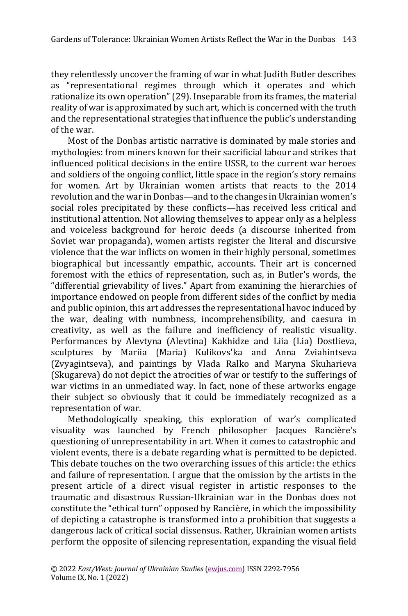they relentlessly uncover the framing of war in what Judith Butler describes as "representational regimes through which it operates and which rationalize its own operation" (29). Inseparable from its frames, the material reality of war is approximated by such art, which is concerned with the truth and the representational strategies that influence the public's understanding of the war.

Most of the Donbas artistic narrative is dominated by male stories and mythologies: from miners known for their sacrificial labour and strikes that influenced political decisions in the entire USSR, to the current war heroes and soldiers of the ongoing conflict, little space in the region's story remains for women. Art by Ukrainian women artists that reacts to the 2014 revolution and the war in Donbas—and to the changes in Ukrainian women's social roles precipitated by these conflicts—has received less critical and institutional attention. Not allowing themselves to appear only as a helpless and voiceless background for heroic deeds (a discourse inherited from Soviet war propaganda), women artists register the literal and discursive violence that the war inflicts on women in their highly personal, sometimes biographical but incessantly empathic, accounts. Their art is concerned foremost with the ethics of representation, such as, in Butler's words, the "differential grievability of lives." Apart from examining the hierarchies of importance endowed on people from different sides of the conflict by media and public opinion, this art addresses the representational havoc induced by the war, dealing with numbness, incomprehensibility, and caesura in creativity, as well as the failure and inefficiency of realistic visuality. Performances by Alevtyna (Alevtina) Kakhidze and Liia (Lia) Dostlieva, sculptures by Mariia (Maria) Kulikovs'ka and Anna Zviahintseva (Zvyagintseva), and paintings by Vlada Ralko and Maryna Skuharieva (Skugareva) do not depict the atrocities of war or testify to the sufferings of war victims in an unmediated way. In fact, none of these artworks engage their subject so obviously that it could be immediately recognized as a representation of war.

Methodologically speaking, this exploration of war's complicated visuality was launched by French philosopher Jacques Rancière's questioning of unrepresentability in art. When it comes to catastrophic and violent events, there is a debate regarding what is permitted to be depicted. This debate touches on the two overarching issues of this article: the ethics and failure of representation. I argue that the omission by the artists in the present article of a direct visual register in artistic responses to the traumatic and disastrous Russian-Ukrainian war in the Donbas does not constitute the "ethical turn" opposed by Rancière, in which the impossibility of depicting a catastrophe is transformed into a prohibition that suggests a dangerous lack of critical social dissensus. Rather, Ukrainian women artists perform the opposite of silencing representation, expanding the visual field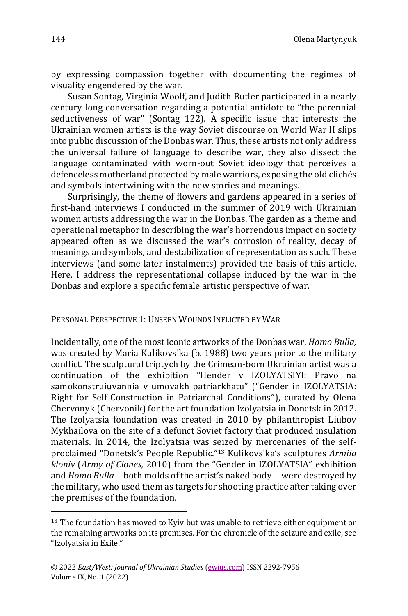by expressing compassion together with documenting the regimes of visuality engendered by the war.

Susan Sontag, Virginia Woolf, and Judith Butler participated in a nearly century-long conversation regarding a potential antidote to "the perennial seductiveness of war" (Sontag 122). A specific issue that interests the Ukrainian women artists is the way Soviet discourse on World War II slips into public discussion of the Donbas war. Thus, these artists not only address the universal failure of language to describe war, they also dissect the language contaminated with worn-out Soviet ideology that perceives a defenceless motherland protected by male warriors, exposing the old clichés and symbols intertwining with the new stories and meanings.

Surprisingly, the theme of flowers and gardens appeared in a series of first-hand interviews I conducted in the summer of 2019 with Ukrainian women artists addressing the war in the Donbas. The garden as a theme and operational metaphor in describing the war's horrendous impact on society appeared often as we discussed the war's corrosion of reality, decay of meanings and symbols, and destabilization of representation as such. These interviews (and some later instalments) provided the basis of this article. Here, I address the representational collapse induced by the war in the Donbas and explore a specific female artistic perspective of war.

PERSONAL PERSPECTIVE 1: UNSEEN WOUNDS INFLICTED BY WAR

Incidentally, one of the most iconic artworks of the Donbas war, *Homo Bulla,* was created by Maria Kulikovs'ka (b. 1988) two years prior to the military conflict. The sculptural triptych by the Crimean-born Ukrainian artist was a continuation of the exhibition "Hender v IZOLYATSIYI: Pravo na samokonstruiuvannia v umovakh patriarkhatu" ("Gender in IZOLYATSIA: Right for Self-Construction in Patriarchal Conditions"), curated by Olena Chervonyk (Chervonik) for the art foundation Izolyatsia in Donetsk in 2012. The Izolyatsia foundation was created in 2010 by philanthropist Liubov Mykhailova on the site of a defunct Soviet factory that produced insulation materials. In 2014, the Izolyatsia was seized by mercenaries of the selfproclaimed "Donetsk's People Republic."<sup>13</sup> Kulikovs'ka's sculptures *Armiia kloniv* (*Army of Clones,* 2010) from the "Gender in IZOLYATSIA" exhibition and *Homo Bulla—*both molds of the artist's naked body*—*were destroyed by the military, who used them as targets for shooting practice after taking over the premises of the foundation.

<sup>&</sup>lt;sup>13</sup> The foundation has moved to Kyiv but was unable to retrieve either equipment or the remaining artworks on its premises. For the chronicle of the seizure and exile, see "Izolyatsia in Exile."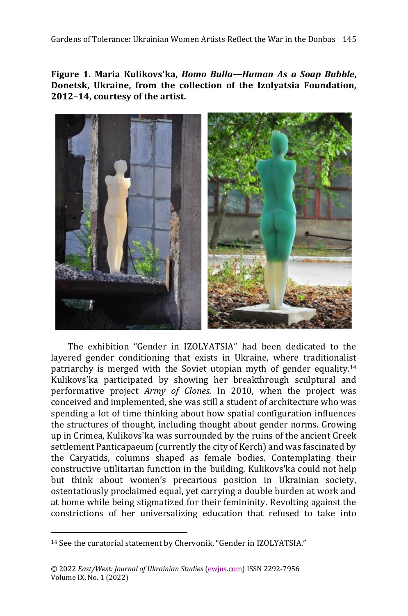**Figure 1. Maria Kulikovs'ka,** *Homo Bulla—Human As a Soap Bubble***, Donetsk, Ukraine, from the collection of the Izolyatsia Foundation, 2012–14, courtesy of the artist.**



The exhibition "Gender in IZOLYATSIA" had been dedicated to the layered gender conditioning that exists in Ukraine, where traditionalist patriarchy is merged with the Soviet utopian myth of gender equality.<sup>14</sup> Kulikovs'ka participated by showing her breakthrough sculptural and performative project *Army of Clones.* In 2010, when the project was conceived and implemented, she was still a student of architecture who was spending a lot of time thinking about how spatial configuration influences the structures of thought, including thought about gender norms. Growing up in Crimea, Kulikovs'ka was surrounded by the ruins of the ancient Greek settlement Panticapaeum (currently the city of Kerch) and was fascinated by the Caryatids, columns shaped as female bodies. Contemplating their constructive utilitarian function in the building, Kulikovs'ka could not help but think about women's precarious position in Ukrainian society, ostentatiously proclaimed equal, yet carrying a double burden at work and at home while being stigmatized for their femininity. Revolting against the constrictions of her universalizing education that refused to take into

<sup>14</sup> See the curatorial statement by Chervonik, "Gender in IZOLYATSIA."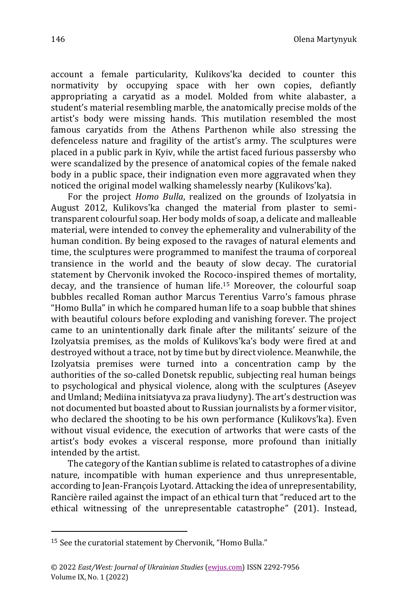account a female particularity, Kulikovs'ka decided to counter this normativity by occupying space with her own copies, defiantly appropriating a caryatid as a model. Molded from white alabaster, a student's material resembling marble, the anatomically precise molds of the artist's body were missing hands. This mutilation resembled the most famous caryatids from the Athens Parthenon while also stressing the defenceless nature and fragility of the artist's army. The sculptures were placed in a public park in Kyiv, while the artist faced furious passersby who were scandalized by the presence of anatomical copies of the female naked body in a public space, their indignation even more aggravated when they noticed the original model walking shamelessly nearby (Kulikovs'ka).

For the project *Homo Bulla*, realized on the grounds of Izolyatsia in August 2012, Kulikovs'ka changed the material from plaster to semitransparent colourful soap. Her body molds of soap, a delicate and malleable material, were intended to convey the ephemerality and vulnerability of the human condition. By being exposed to the ravages of natural elements and time, the sculptures were programmed to manifest the trauma of corporeal transience in the world and the beauty of slow decay. The curatorial statement by Chervonik invoked the Rococo-inspired themes of mortality, decay, and the transience of human life.<sup>15</sup> Moreover, the colourful soap bubbles recalled Roman author Marcus Terentius Varro's famous phrase "Homo Bulla" in which he compared human life to a soap bubble that shines with beautiful colours before exploding and vanishing forever. The project came to an unintentionally dark finale after the militants' seizure of the Izolyatsia premises, as the molds of Kulikovs'ka's body were fired at and destroyed without a trace, not by time but by direct violence. Meanwhile, the Izolyatsia premises were turned into a concentration camp by the authorities of the so-called Donetsk republic, subjecting real human beings to psychological and physical violence, along with the sculptures (Aseyev and Umland; Mediina initsiatyva za prava liudyny). The art's destruction was not documented but boasted about to Russian journalists by a former visitor, who declared the shooting to be his own performance (Kulikovs'ka). Even without visual evidence, the execution of artworks that were casts of the artist's body evokes a visceral response, more profound than initially intended by the artist.

The category of the Kantian sublime is related to catastrophes of a divine nature, incompatible with human experience and thus unrepresentable, according to Jean-François Lyotard. Attacking the idea of unrepresentability, Rancière railed against the impact of an ethical turn that "reduced art to the ethical witnessing of the unrepresentable catastrophe" (201). Instead,

<sup>15</sup> See the curatorial statement by Chervonik, "Homo Bulla."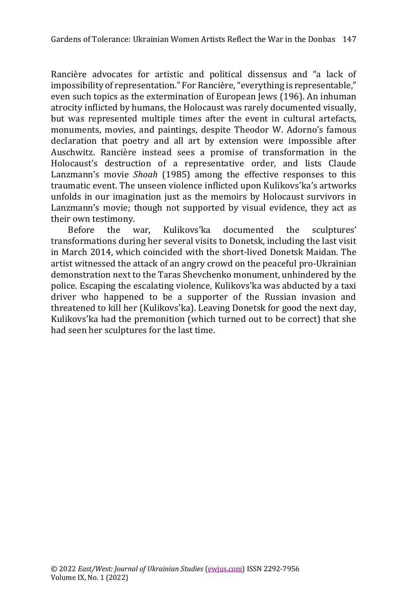Rancière advocates for artistic and political dissensus and "a lack of impossibility of representation." For Rancière, "everything is representable," even such topics as the extermination of European Jews (196). An inhuman atrocity inflicted by humans, the Holocaust was rarely documented visually, but was represented multiple times after the event in cultural artefacts, monuments, movies, and paintings, despite Theodor W. Adorno's famous declaration that poetry and all art by extension were impossible after Auschwitz. Rancière instead sees a promise of transformation in the Holocaust's destruction of a representative order, and lists Claude Lanzmann's movie *Shoah* (1985) among the effective responses to this traumatic event. The unseen violence inflicted upon Kulikovs'ka's artworks unfolds in our imagination just as the memoirs by Holocaust survivors in Lanzmann's movie; though not supported by visual evidence, they act as their own testimony.

Before the war, Kulikovs'ka documented the sculptures' transformations during her several visits to Donetsk, including the last visit in March 2014, which coincided with the short-lived Donetsk Maidan. The artist witnessed the attack of an angry crowd on the peaceful pro-Ukrainian demonstration next to the Taras Shevchenko monument, unhindered by the police. Escaping the escalating violence, Kulikovs'ka was abducted by a taxi driver who happened to be a supporter of the Russian invasion and threatened to kill her (Kulikovs'ka). Leaving Donetsk for good the next day, Kulikovs'ka had the premonition (which turned out to be correct) that she had seen her sculptures for the last time.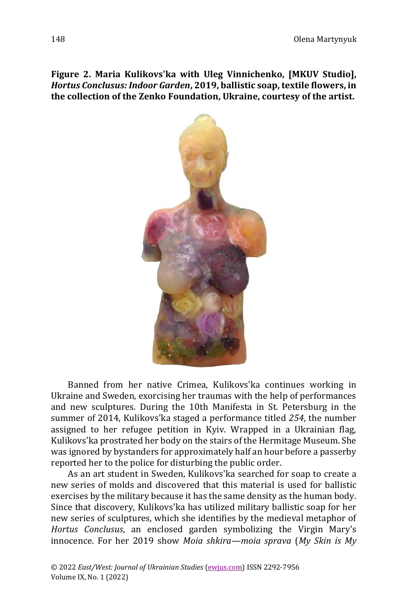**Figure 2. Maria Kulikovs'ka with Uleg Vinnichenko, [MKUV Studio],**  *Hortus Conclusus: Indoor Garden***, 2019, ballistic soap, textile flowers, in the collection of the Zenko Foundation, Ukraine, courtesy of the artist.**



Banned from her native Crimea, Kulikovs'ka continues working in Ukraine and Sweden, exorcising her traumas with the help of performances and new sculptures. During the 10th Manifesta in St. Petersburg in the summer of 2014, Kulikovs'ka staged a performance titled *254*, the number assigned to her refugee petition in Kyiv. Wrapped in a Ukrainian flag, Kulikovs'ka prostrated her body on the stairs of the Hermitage Museum. She was ignored by bystanders for approximately half an hour before a passerby reported her to the police for disturbing the public order.

As an art student in Sweden, Kulikovs'ka searched for soap to create a new series of molds and discovered that this material is used for ballistic exercises by the military because it has the same density as the human body. Since that discovery, Kulikovs'ka has utilized military ballistic soap for her new series of sculptures, which she identifies by the medieval metaphor of *Hortus Conclusus*, an enclosed garden symbolizing the Virgin Mary's innocence. For her 2019 show *Moia shkira—moia sprava* (*My Skin is My*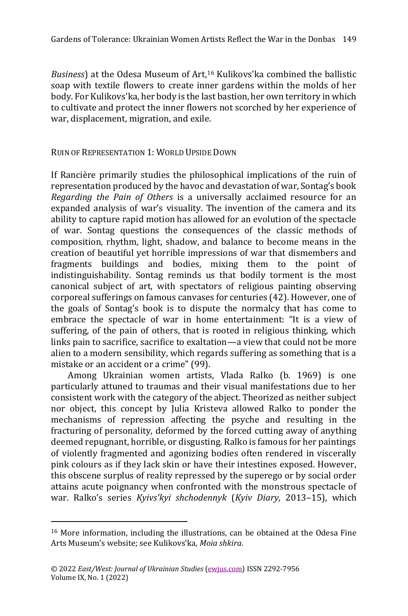*Business*) at the Odesa Museum of Art,<sup>16</sup> Kulikovs'ka combined the ballistic soap with textile flowers to create inner gardens within the molds of her body. For Kulikovs'ka, her body is the last bastion, her own territory in which to cultivate and protect the inner flowers not scorched by her experience of war, displacement, migration, and exile.

RUIN OF REPRESENTATION 1: WORLD UPSIDE DOWN

If Rancière primarily studies the philosophical implications of the ruin of representation produced by the havoc and devastation of war, Sontag's book *Regarding the Pain of Others* is a universally acclaimed resource for an expanded analysis of war's visuality. The invention of the camera and its ability to capture rapid motion has allowed for an evolution of the spectacle of war. Sontag questions the consequences of the classic methods of composition, rhythm, light, shadow, and balance to become means in the creation of beautiful yet horrible impressions of war that dismembers and fragments buildings and bodies, mixing them to the point of indistinguishability. Sontag reminds us that bodily torment is the most canonical subject of art, with spectators of religious painting observing corporeal sufferings on famous canvases for centuries (42). However, one of the goals of Sontag's book is to dispute the normalcy that has come to embrace the spectacle of war in home entertainment: "It is a view of suffering, of the pain of others, that is rooted in religious thinking, which links pain to sacrifice, sacrifice to exaltation—a view that could not be more alien to a modern sensibility, which regards suffering as something that is a mistake or an accident or a crime" (99).

Among Ukrainian women artists, Vlada Ralko (b. 1969) is one particularly attuned to traumas and their visual manifestations due to her consistent work with the category of the abject. Theorized as neither subject nor object, this concept by Julia Kristeva allowed Ralko to ponder the mechanisms of repression affecting the psyche and resulting in the fracturing of personality, deformed by the forced cutting away of anything deemed repugnant, horrible, or disgusting. Ralko is famous for her paintings of violently fragmented and agonizing bodies often rendered in viscerally pink colours as if they lack skin or have their intestines exposed. However, this obscene surplus of reality repressed by the superego or by social order attains acute poignancy when confronted with the monstrous spectacle of war. Ralko's series *Kyivs'kyi shchodennyk* (*Kyiv Diary,* 2013–15), which

<sup>16</sup> More information, including the illustrations, can be obtained at the Odesa Fine Arts Museum's website; see Kulikovs'ka, *Moia shkira*.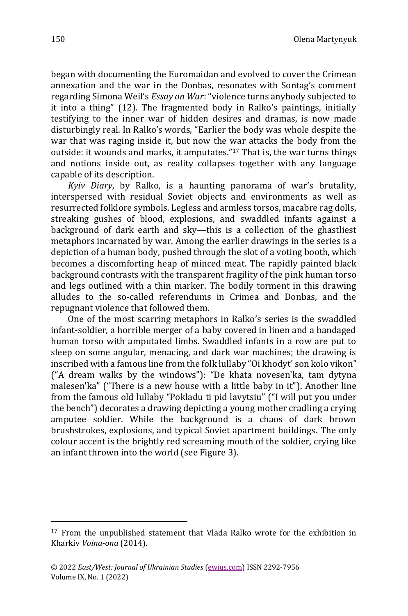began with documenting the Euromaidan and evolved to cover the Crimean annexation and the war in the Donbas, resonates with Sontag's comment regarding Simona Weil's *Essay on War*: "violence turns anybody subjected to it into a thing" (12). The fragmented body in Ralko's paintings, initially testifying to the inner war of hidden desires and dramas, is now made disturbingly real. In Ralko's words, "Earlier the body was whole despite the war that was raging inside it, but now the war attacks the body from the outside: it wounds and marks, it amputates." <sup>17</sup> That is, the war turns things and notions inside out, as reality collapses together with any language capable of its description.

*Kyiv Diary*, by Ralko, is a haunting panorama of war's brutality, interspersed with residual Soviet objects and environments as well as resurrected folklore symbols. Legless and armless torsos, macabre rag dolls, streaking gushes of blood, explosions, and swaddled infants against a background of dark earth and sky—this is a collection of the ghastliest metaphors incarnated by war. Among the earlier drawings in the series is a depiction of a human body, pushed through the slot of a voting booth, which becomes a discomforting heap of minced meat. The rapidly painted black background contrasts with the transparent fragility of the pink human torso and legs outlined with a thin marker. The bodily torment in this drawing alludes to the so-called referendums in Crimea and Donbas, and the repugnant violence that followed them.

One of the most scarring metaphors in Ralko's series is the swaddled infant-soldier, a horrible merger of a baby covered in linen and a bandaged human torso with amputated limbs. Swaddled infants in a row are put to sleep on some angular, menacing, and dark war machines; the drawing is inscribed with a famous line from the folk lullaby "Oi khodyt' son kolo vikon" ("A dream walks by the windows"): "De khata novesen'ka, tam dytyna malesen'ka" ("There is a new house with a little baby in it"). Another line from the famous old lullaby "Pokladu ti pid lavytsiu" ("I will put you under the bench") decorates a drawing depicting a young mother cradling a crying amputee soldier. While the background is a chaos of dark brown brushstrokes, explosions, and typical Soviet apartment buildings. The only colour accent is the brightly red screaming mouth of the soldier, crying like an infant thrown into the world (see Figure 3).

<sup>&</sup>lt;sup>17</sup> From the unpublished statement that Vlada Ralko wrote for the exhibition in Kharkiv *Voina-ona* (2014).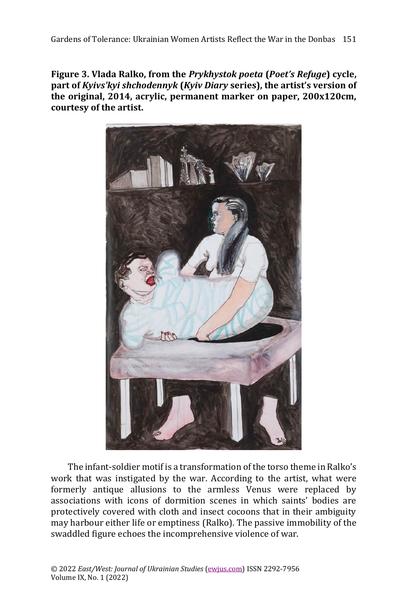**Figure 3. Vlada Ralko, from the** *Prykhystok poeta* **(***Poet's Refuge***) cycle, part of** *Kyivs'kyi shchodennyk* **(***Kyiv Diary* **series), the artist's version of the original, 2014, acrylic, permanent marker on paper, 200x120cm, courtesy of the artist.**



The infant-soldier motif is a transformation of the torso theme in Ralko's work that was instigated by the war. According to the artist, what were formerly antique allusions to the armless Venus were replaced by associations with icons of dormition scenes in which saints' bodies are protectively covered with cloth and insect cocoons that in their ambiguity may harbour either life or emptiness (Ralko). The passive immobility of the swaddled figure echoes the incomprehensive violence of war.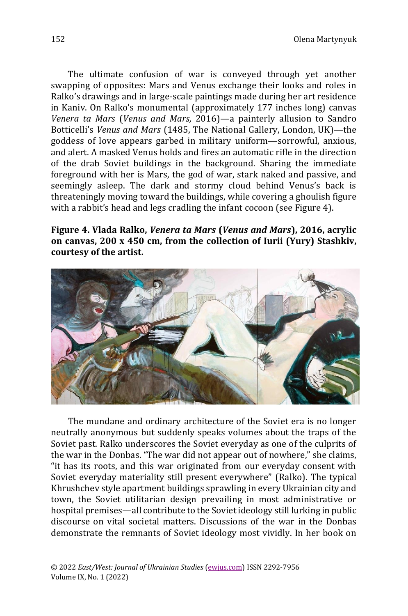The ultimate confusion of war is conveyed through yet another swapping of opposites: Mars and Venus exchange their looks and roles in Ralko's drawings and in large-scale paintings made during her art residence in Kaniv. On Ralko's monumental (approximately 177 inches long) canvas *Venera ta Mars* (*Venus and Mars,* 2016)—a painterly allusion to Sandro Botticelli's *Venus and Mars* (1485, The National Gallery, London, UK)—the goddess of love appears garbed in military uniform—sorrowful, anxious, and alert. A masked Venus holds and fires an automatic rifle in the direction of the drab Soviet buildings in the background. Sharing the immediate foreground with her is Mars, the god of war, stark naked and passive, and seemingly asleep. The dark and stormy cloud behind Venus's back is threateningly moving toward the buildings, while covering a ghoulish figure with a rabbit's head and legs cradling the infant cocoon (see Figure 4).

**Figure 4. Vlada Ralko,** *Venera ta Mars* **(***Venus and Mars***), 2016, acrylic on canvas, 200 х 450 cm, from the collection of Iurii (Yury) Stashkiv, courtesy of the artist.**



The mundane and ordinary architecture of the Soviet era is no longer neutrally anonymous but suddenly speaks volumes about the traps of the Soviet past. Ralko underscores the Soviet everyday as one of the culprits of the war in the Donbas. "The war did not appear out of nowhere," she claims, "it has its roots, and this war originated from our everyday consent with Soviet everyday materiality still present everywhere" (Ralko). The typical Khrushchev style apartment buildings sprawling in every Ukrainian city and town, the Soviet utilitarian design prevailing in most administrative or hospital premises—all contribute to the Soviet ideology still lurking in public discourse on vital societal matters. Discussions of the war in the Donbas demonstrate the remnants of Soviet ideology most vividly. In her book on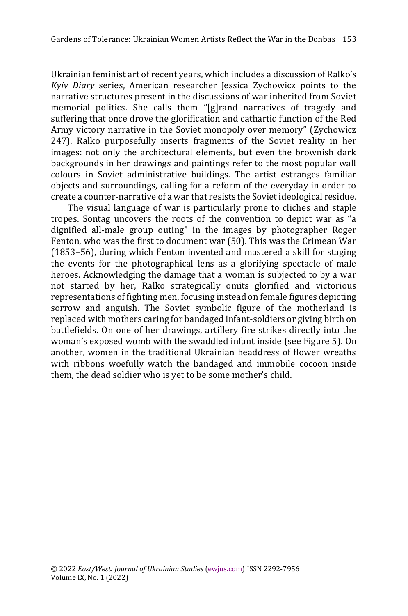Ukrainian feminist art of recent years, which includes a discussion of Ralko's *Kyiv Diary* series, American researcher Jessica Zychowicz points to the narrative structures present in the discussions of war inherited from Soviet memorial politics. She calls them "[g]rand narratives of tragedy and suffering that once drove the glorification and cathartic function of the Red Army victory narrative in the Soviet monopoly over memory" (Zychowicz 247). Ralko purposefully inserts fragments of the Soviet reality in her images: not only the architectural elements, but even the brownish dark backgrounds in her drawings and paintings refer to the most popular wall colours in Soviet administrative buildings. The artist estranges familiar objects and surroundings, calling for a reform of the everyday in order to create a counter-narrative of a war that resists the Soviet ideological residue.

The visual language of war is particularly prone to cliches and staple tropes. Sontag uncovers the roots of the convention to depict war as "a dignified all-male group outing" in the images by photographer Roger Fenton, who was the first to document war (50). This was the Crimean War (1853–56), during which Fenton invented and mastered a skill for staging the events for the photographical lens as a glorifying spectacle of male heroes. Acknowledging the damage that a woman is subjected to by a war not started by her, Ralko strategically omits glorified and victorious representations of fighting men, focusing instead on female figures depicting sorrow and anguish. The Soviet symbolic figure of the motherland is replaced with mothers caring for bandaged infant-soldiers or giving birth on battlefields. On one of her drawings, artillery fire strikes directly into the woman's exposed womb with the swaddled infant inside (see Figure 5). On another, women in the traditional Ukrainian headdress of flower wreaths with ribbons woefully watch the bandaged and immobile cocoon inside them, the dead soldier who is yet to be some mother's child.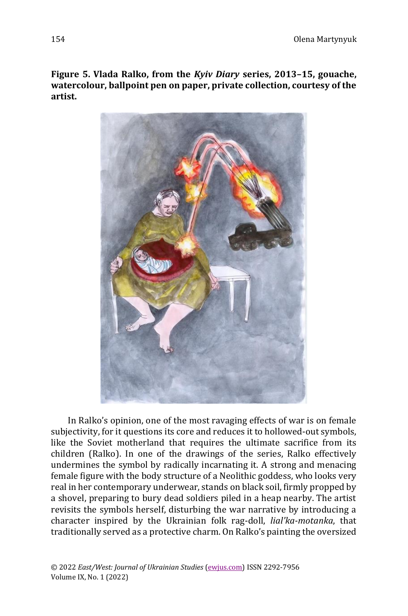**Figure 5. Vlada Ralko, from the** *Kyiv Diary* **series, 2013–15, gouache, watercolour, ballpoint pen on paper, private collection, courtesy of the artist.**



In Ralko's opinion, one of the most ravaging effects of war is on female subjectivity, for it questions its core and reduces it to hollowed-out symbols, like the Soviet motherland that requires the ultimate sacrifice from its children (Ralko). In one of the drawings of the series, Ralko effectively undermines the symbol by radically incarnating it. A strong and menacing female figure with the body structure of a Neolithic goddess, who looks very real in her contemporary underwear, stands on black soil, firmly propped by a shovel, preparing to bury dead soldiers piled in a heap nearby. The artist revisits the symbols herself, disturbing the war narrative by introducing a character inspired by the Ukrainian folk rag-doll, *lial'ka-motanka*, that traditionally served as a protective charm. On Ralko's painting the oversized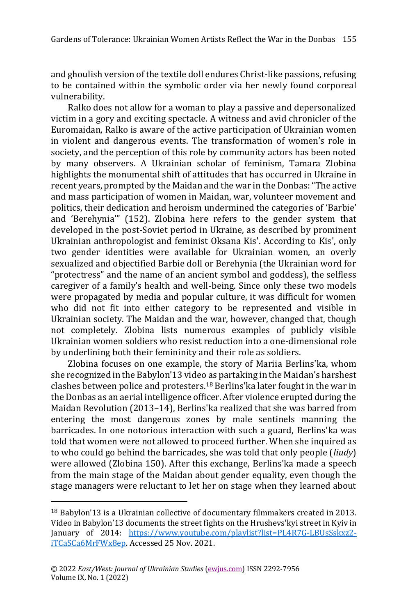and ghoulish version of the textile doll endures Christ-like passions, refusing to be contained within the symbolic order via her newly found corporeal vulnerability.

Ralko does not allow for a woman to play a passive and depersonalized victim in a gory and exciting spectacle. A witness and avid chronicler of the Euromaidan, Ralko is aware of the active participation of Ukrainian women in violent and dangerous events. The transformation of women's role in society, and the perception of this role by community actors has been noted by many observers. A Ukrainian scholar of feminism, Tamara Zlobina highlights the monumental shift of attitudes that has occurred in Ukraine in recent years, prompted by the Maidan and the war in the Donbas: "The active and mass participation of women in Maidan, war, volunteer movement and politics, their dedication and heroism undermined the categories of 'Barbie' and 'Berehynia'" (152). Zlobina here refers to the gender system that developed in the post-Soviet period in Ukraine, as described by prominent Ukrainian anthropologist and feminist Oksana Kis'. According to Kis', only two gender identities were available for Ukrainian women, an overly sexualized and objectified Barbie doll or Berehynia (the Ukrainian word for "protectress" and the name of an ancient symbol and goddess), the selfless caregiver of a family's health and well-being. Since only these two models were propagated by media and popular culture, it was difficult for women who did not fit into either category to be represented and visible in Ukrainian society. The Maidan and the war, however, changed that, though not completely. Zlobina lists numerous examples of publicly visible Ukrainian women soldiers who resist reduction into a one-dimensional role by underlining both their femininity and their role as soldiers.

Zlobina focuses on one example, the story of Mariia Berlins'ka, whom she recognized in the Babylon'13 video as partaking in the Maidan's harshest clashes between police and protesters.<sup>18</sup> Berlins'ka later fought in the war in the Donbas as an aerial intelligence officer. After violence erupted during the Maidan Revolution (2013–14), Berlins'ka realized that she was barred from entering the most dangerous zones by male sentinels manning the barricades. In one notorious interaction with such a guard, Berlins'ka was told that women were not allowed to proceed further. When she inquired as to who could go behind the barricades, she was told that only people (*liudy*) were allowed (Zlobina 150). After this exchange, Berlins'ka made a speech from the main stage of the Maidan about gender equality, even though the stage managers were reluctant to let her on stage when they learned about

<sup>18</sup> Babylon'13 is a Ukrainian collective of documentary filmmakers created in 2013. Video in Babylon'13 documents the street fights on the Hrushevs'kyi street in Kyiv in January of 2014: [https://www.youtube.com/playlist?list=PL4R7G-LBUsSskxz2](https://www.youtube.com/playlist?list=PL4R7G-LBUsSskxz2-iTCaSCa6MrFWx8ep) [iTCaSCa6MrFWx8ep.](https://www.youtube.com/playlist?list=PL4R7G-LBUsSskxz2-iTCaSCa6MrFWx8ep) Accessed 25 Nov. 2021.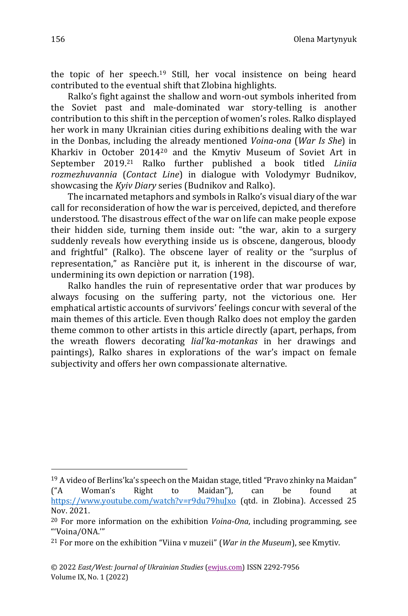the topic of her speech.<sup>19</sup> Still, her vocal insistence on being heard contributed to the eventual shift that Zlobina highlights.

Ralko's fight against the shallow and worn-out symbols inherited from the Soviet past and male-dominated war story-telling is another contribution to this shift in the perception of women's roles. Ralko displayed her work in many Ukrainian cities during exhibitions dealing with the war in the Donbas, including the already mentioned *Voina-ona* (*War Is She*) in Kharkiv in October 2014<sup>20</sup> and the Kmytiv Museum of Soviet Art in September 2019.<sup>21</sup> Ralko further published a book titled *Liniia rozmezhuvannia* (*Contact Line*) in dialogue with Volodymyr Budnikov, showcasing the *Kyiv Diary* series (Budnikov and Ralko).

The incarnated metaphors and symbols in Ralko's visual diary of the war call for reconsideration of how the war is perceived, depicted, and therefore understood. The disastrous effect of the war on life can make people expose their hidden side, turning them inside out: "the war, akin to a surgery suddenly reveals how everything inside us is obscene, dangerous, bloody and frightful" (Ralko). The obscene layer of reality or the "surplus of representation," as Rancière put it, is inherent in the discourse of war, undermining its own depiction or narration (198).

Ralko handles the ruin of representative order that war produces by always focusing on the suffering party, not the victorious one. Her emphatical artistic accounts of survivors' feelings concur with several of the main themes of this article. Even though Ralko does not employ the garden theme common to other artists in this article directly (apart, perhaps, from the wreath flowers decorating *lial'ka-motankas* in her drawings and paintings), Ralko shares in explorations of the war's impact on female subjectivity and offers her own compassionate alternative.

<sup>19</sup> A video of Berlins'ka's speech on the Maidan stage, titled "Pravo zhinky na Maidan" ("A Woman's Right to Maidan"), can be found at <https://www.youtube.com/watch?v=r9du79huJxo> (qtd. in Zlobina). Accessed 25 Nov. 2021.

<sup>20</sup> For more information on the exhibition *Voina-Ona*, including programming, see "'Voina/ONA.'"

<sup>21</sup> For more on the exhibition "Viina v muzeii" (*War in the Museum*), see Kmytiv.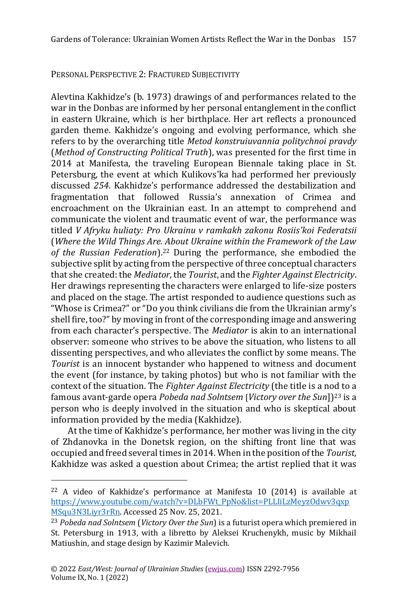#### PERSONAL PERSPECTIVE 2: FRACTURED SUBJECTIVITY

Alevtina Kakhidze's (b. 1973) drawings of and performances related to the war in the Donbas are informed by her personal entanglement in the conflict in eastern Ukraine, which is her birthplace. Her art reflects a pronounced garden theme. Kakhidze's ongoing and evolving performance, which she refers to by the overarching title *Metod konstruiuvannia politychnoi pravdy* (*Method of Constructing Political Truth*), was presented for the first time in 2014 at Manifesta, the traveling European Biennale taking place in St. Petersburg, the event at which Kulikovs'ka had performed her previously discussed *254*. Kakhidze's performance addressed the destabilization and fragmentation that followed Russia's annexation of Crimea and encroachment on the Ukrainian east. In an attempt to comprehend and communicate the violent and traumatic event of war, the performance was titled *V Afryku huliaty: Pro Ukrainu v ramkakh zakonu Rosiis'koi Federatsii* (*Where the Wild Things Are. About Ukraine within the Framework of the Law of the Russian Federation*). <sup>22</sup> During the performance, she embodied the subjective split by acting from the perspective of three conceptual characters that she created: the *Mediator*, the *Tourist*, and the *Fighter Against Electricity*. Her drawings representing the characters were enlarged to life-size posters and placed on the stage. The artist responded to audience questions such as "Whose is Crimea?" or "Do you think civilians die from the Ukrainian army's shell fire, too?" by moving in front of the corresponding image and answering from each character's perspective. The *Mediator* is akin to an international observer: someone who strives to be above the situation, who listens to all dissenting perspectives, and who alleviates the conflict by some means. The *Tourist* is an innocent bystander who happened to witness and document the event (for instance, by taking photos) but who is not familiar with the context of the situation. The *Fighter Against Electricity* (the title is a nod to a famous avant-garde opera *Pobeda nad Solntsem* [*Victory over the Sun*]) <sup>23</sup> is a person who is deeply involved in the situation and who is skeptical about information provided by the media (Kakhidze).

At the time of Kakhidze's performance, her mother was living in the city of Zhdanovka in the Donetsk region, on the shifting front line that was occupied and freed several times in 2014. When in the position of the *Tourist,* Kakhidze was asked a question about Crimea; the artist replied that it was

<sup>22</sup> A video of Kakhidze's performance at Manifesta 10 (2014) is available at [https://www.youtube.com/watch?v=DLbFWt\\_PpNo&list=PLLIiLzMeyzOdwv3qxp](https://www.youtube.com/watch?v=DLbFWt_PpNo&list=PLLIiLzMeyzOdwv3qxpMSqu3N3Liyr3rRn) [MSqu3N3Liyr3rRn.](https://www.youtube.com/watch?v=DLbFWt_PpNo&list=PLLIiLzMeyzOdwv3qxpMSqu3N3Liyr3rRn) Accessed 25 Nov. 25, 2021.

<sup>23</sup> *Pobeda nad Solntsem* (*Victory Over the Sun*) is a futurist opera which premiered in St. Petersburg in 1913, with a libretto by Aleksei Kruchenykh, music by Mikhail Matiushin, and stage design by Kazimir Malevich.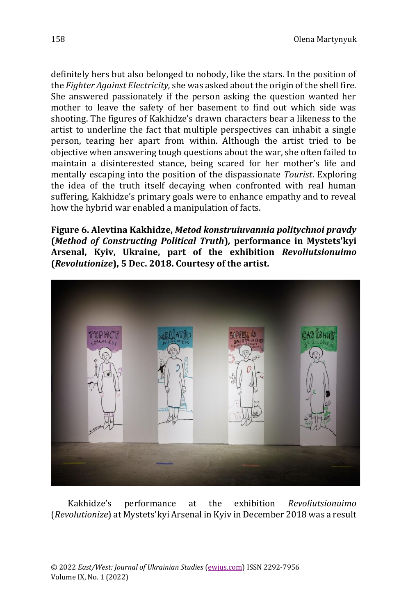definitely hers but also belonged to nobody, like the stars. In the position of the *Fighter Against Electricity,* she was asked about the origin of the shell fire. She answered passionately if the person asking the question wanted her mother to leave the safety of her basement to find out which side was shooting. The figures of Kakhidze's drawn characters bear a likeness to the artist to underline the fact that multiple perspectives can inhabit a single person, tearing her apart from within. Although the artist tried to be objective when answering tough questions about the war, she often failed to maintain a disinterested stance, being scared for her mother's life and mentally escaping into the position of the dispassionate *Tourist*. Exploring the idea of the truth itself decaying when confronted with real human suffering, Kakhidze's primary goals were to enhance empathy and to reveal how the hybrid war enabled a manipulation of facts.

**Figure 6. Alevtina Kakhidze,** *Metod konstruiuvannia politychnoi pravdy* **(***Method of Constructing Political Truth***)***,* **performance in Mystets'kyi Arsenal, Kyiv, Ukraine, part of the exhibition** *Revoliutsionuimo* **(***Revolutionize***), 5 Dec. 2018. Courtesy of the artist.**



Kakhidze's performance at the exhibition *Revoliutsionuimo* (*Revolutionize*) at Mystets'kyi Arsenal in Kyiv in December 2018 was a result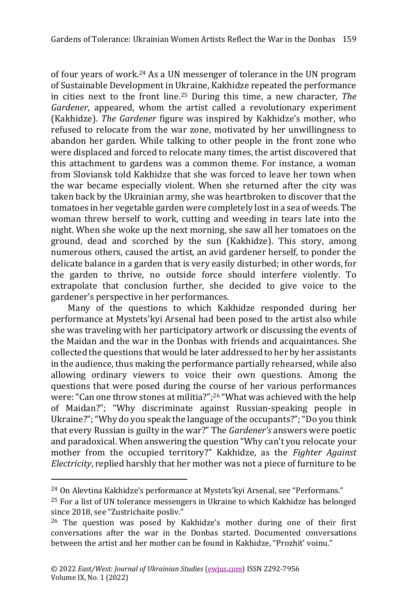of four years of work. <sup>24</sup> As a UN messenger of tolerance in the UN program of Sustainable Development in Ukraine, Kakhidze repeated the performance in cities next to the front line.<sup>25</sup> During this time, a new character, *The Gardener*, appeared, whom the artist called a revolutionary experiment (Kakhidze). *The Gardener* figure was inspired by Kakhidze's mother, who refused to relocate from the war zone, motivated by her unwillingness to abandon her garden. While talking to other people in the front zone who were displaced and forced to relocate many times, the artist discovered that this attachment to gardens was a common theme. For instance, a woman from Sloviansk told Kakhidze that she was forced to leave her town when the war became especially violent. When she returned after the city was taken back by the Ukrainian army, she was heartbroken to discover that the tomatoes in her vegetable garden were completely lost in a sea of weeds. The woman threw herself to work, cutting and weeding in tears late into the night. When she woke up the next morning, she saw all her tomatoes on the ground, dead and scorched by the sun (Kakhidze). This story, among numerous others, caused the artist, an avid gardener herself, to ponder the delicate balance in a garden that is very easily disturbed; in other words, for the garden to thrive, no outside force should interfere violently. To extrapolate that conclusion further, she decided to give voice to the gardener's perspective in her performances.

Many of the questions to which Kakhidze responded during her performance at Mystets'kyi Arsenal had been posed to the artist also while she was traveling with her participatory artwork or discussing the events of the Maidan and the war in the Donbas with friends and acquaintances. She collected the questions that would be later addressed to her by her assistants in the audience, thus making the performance partially rehearsed, while also allowing ordinary viewers to voice their own questions. Among the questions that were posed during the course of her various performances were: "Can one throw stones at militia?"; <sup>26</sup> "What was achieved with the help of Maidan?"; "Why discriminate against Russian-speaking people in Ukraine?"; "Why do you speak the language of the occupants?"; "Do you think that every Russian is guilty in the war?" The *Gardener's* answers were poetic and paradoxical. When answering the question "Why can't you relocate your mother from the occupied territory?" Kakhidze, as the *Fighter Against Electricity*, replied harshly that her mother was not a piece of furniture to be

<sup>24</sup> On Alevtina Kakhidze's performance at Mystets'kyi Arsenal, see "Performans."

<sup>25</sup> For a list of UN tolerance messengers in Ukraine to which Kakhidze has belonged since 2018, see "Zustrichaite posliv."

<sup>&</sup>lt;sup>26</sup> The question was posed by Kakhidze's mother during one of their first conversations after the war in the Donbas started. Documented conversations between the artist and her mother can be found in Kakhidze, "Prozhit' voinu."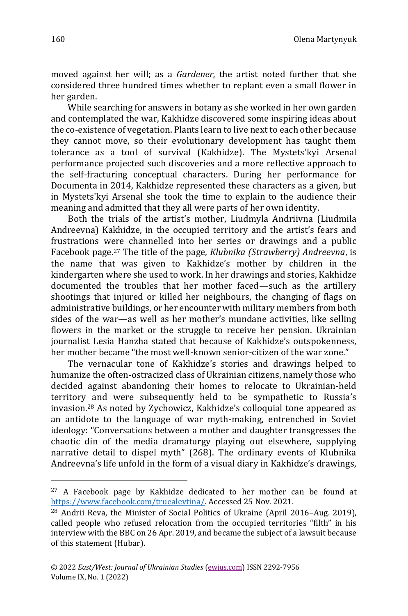moved against her will; as a *Gardener,* the artist noted further that she considered three hundred times whether to replant even a small flower in her garden.

While searching for answers in botany as she worked in her own garden and contemplated the war, Kakhidze discovered some inspiring ideas about the co-existence of vegetation. Plants learn to live next to each other because they cannot move, so their evolutionary development has taught them tolerance as a tool of survival (Kakhidze). The Mystets'kyi Arsenal performance projected such discoveries and a more reflective approach to the self-fracturing conceptual characters. During her performance for Documenta in 2014, Kakhidze represented these characters as a given, but in Mystets'kyi Arsenal she took the time to explain to the audience their meaning and admitted that they all were parts of her own identity.

Both the trials of the artist's mother, Liudmyla Andriivna (Liudmila Andreevna) Kakhidze, in the occupied territory and the artist's fears and frustrations were channelled into her series or drawings and a public Facebook page.<sup>27</sup> The title of the page, *Klubnika (Strawberry) Andreevna*, is the name that was given to Kakhidze's mother by children in the kindergarten where she used to work. In her drawings and stories, Kakhidze documented the troubles that her mother faced—such as the artillery shootings that injured or killed her neighbours, the changing of flags on administrative buildings, or her encounter with military members from both sides of the war—as well as her mother's mundane activities, like selling flowers in the market or the struggle to receive her pension. Ukrainian journalist Lesia Hanzha stated that because of Kakhidze's outspokenness, her mother became "the most well-known senior-citizen of the war zone."

The vernacular tone of Kakhidze's stories and drawings helped to humanize the often-ostracized class of Ukrainian citizens, namely those who decided against abandoning their homes to relocate to Ukrainian-held territory and were subsequently held to be sympathetic to Russia's invasion.<sup>28</sup> As noted by Zychowicz, Kakhidze's colloquial tone appeared as an antidote to the language of war myth-making, entrenched in Soviet ideology: "Conversations between a mother and daughter transgresses the chaotic din of the media dramaturgy playing out elsewhere, supplying narrative detail to dispel myth" (268). The ordinary events of Klubnika Andreevna's life unfold in the form of a visual diary in Kakhidze's drawings,

<sup>27</sup> A Facebook page by Kakhidze dedicated to her mother can be found at [https://www.facebook.com/truealevtina/.](https://www.facebook.com/truealevtina/) Accessed 25 Nov. 2021.

<sup>28</sup> Andrii Reva, the Minister of Social Politics of Ukraine (April 2016–Aug. 2019), called people who refused relocation from the occupied territories "filth" in his interview with the BBC on 26 Apr. 2019, and became the subject of a lawsuit because of this statement (Hubar).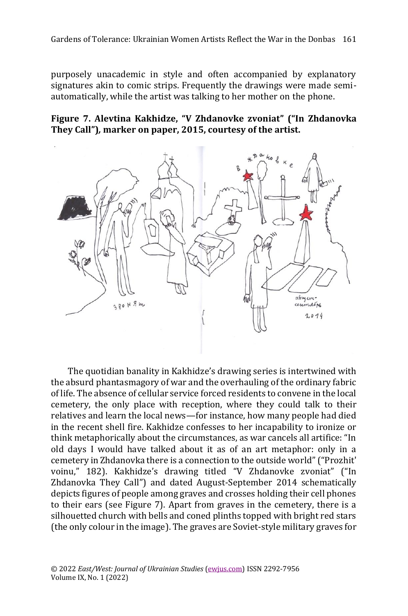purposely unacademic in style and often accompanied by explanatory signatures akin to comic strips. Frequently the drawings were made semiautomatically, while the artist was talking to her mother on the phone.

**Figure 7. Alevtina Kakhidze, "V Zhdanovke zvoniat" ("In Zhdanovka They Call")***,* **marker on paper, 2015, courtesy of the artist.**



The quotidian banality in Kakhidze's drawing series is intertwined with the absurd phantasmagory of war and the overhauling of the ordinary fabric of life. The absence of cellular service forced residents to convene in the local cemetery, the only place with reception, where they could talk to their relatives and learn the local news—for instance, how many people had died in the recent shell fire. Kakhidze confesses to her incapability to ironize or think metaphorically about the circumstances, as war cancels all artifice: "In old days I would have talked about it as of an art metaphor: only in a cemetery in Zhdanovka there is a connection to the outside world" ("Prozhit' voinu," 182). Kakhidze's drawing titled "V Zhdanovke zvoniat" ("In Zhdanovka They Call") and dated August-September 2014 schematically depicts figures of people among graves and crosses holding their cell phones to their ears (see Figure 7). Apart from graves in the cemetery, there is a silhouetted church with bells and coned plinths topped with bright red stars (the only colour in the image). The graves are Soviet-style military graves for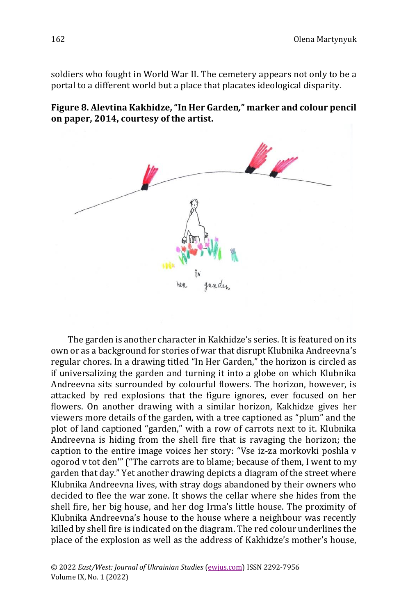soldiers who fought in World War II. The cemetery appears not only to be a portal to a different world but a place that placates ideological disparity.





The garden is another character in Kakhidze's series. It is featured on its own or as a background for stories of war that disrupt Klubnika Andreevna's regular chores. In a drawing titled "In Her Garden," the horizon is circled as if universalizing the garden and turning it into a globe on which Klubnika Andreevna sits surrounded by colourful flowers. The horizon, however, is attacked by red explosions that the figure ignores, ever focused on her flowers. On another drawing with a similar horizon, Kakhidze gives her viewers more details of the garden, with a tree captioned as "plum" and the plot of land captioned "garden," with a row of carrots next to it. Klubnika Andreevna is hiding from the shell fire that is ravaging the horizon; the caption to the entire image voices her story: "Vse iz-za morkovki poshla v ogorod v tot den'" ("The carrots are to blame; because of them, I went to my garden that day." Yet another drawing depicts a diagram of the street where Klubnika Andreevna lives, with stray dogs abandoned by their owners who decided to flee the war zone. It shows the cellar where she hides from the shell fire, her big house, and her dog Irma's little house. The proximity of Klubnika Andreevna's house to the house where a neighbour was recently killed by shell fire is indicated on the diagram. The red colour underlines the place of the explosion as well as the address of Kakhidze's mother's house,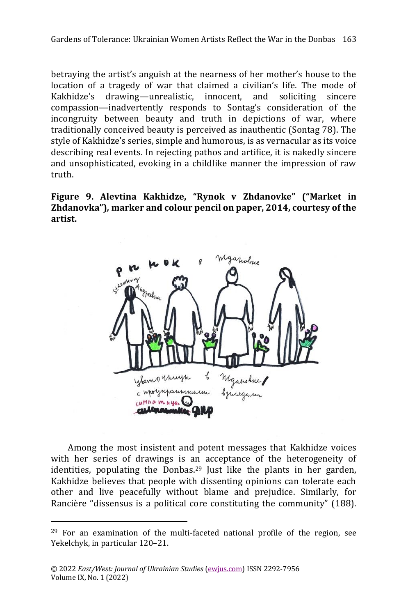betraying the artist's anguish at the nearness of her mother's house to the location of a tragedy of war that claimed a civilian's life. The mode of Kakhidze's drawing—unrealistic, innocent, and soliciting sincere compassion—inadvertently responds to Sontag's consideration of the incongruity between beauty and truth in depictions of war, where traditionally conceived beauty is perceived as inauthentic (Sontag 78). The style of Kakhidze's series, simple and humorous, is as vernacular as its voice describing real events. In rejecting pathos and artifice, it is nakedly sincere and unsophisticated, evoking in a childlike manner the impression of raw truth.

**Figure 9. Alevtina Kakhidze, "Rynok v Zhdanovke" ("Market in Zhdanovka")***,* **marker and colour pencil on paper, 2014, courtesy of the artist.**



Among the most insistent and potent messages that Kakhidze voices with her series of drawings is an acceptance of the heterogeneity of identities, populating the Donbas.<sup>29</sup> Just like the plants in her garden, Kakhidze believes that people with dissenting opinions can tolerate each other and live peacefully without blame and prejudice. Similarly, for Rancière "dissensus is a political core constituting the community" (188).

 $29$  For an examination of the multi-faceted national profile of the region, see Yekelchyk, in particular 120–21.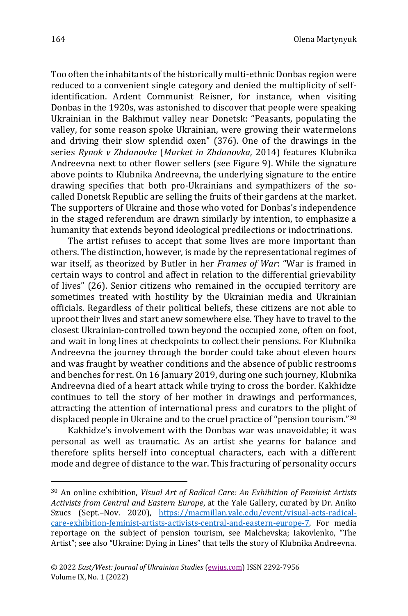Too often the inhabitants of the historically multi-ethnic Donbas region were reduced to a convenient single category and denied the multiplicity of selfidentification. Ardent Communist Reisner, for instance, when visiting Donbas in the 1920s, was astonished to discover that people were speaking Ukrainian in the Bakhmut valley near Donetsk: "Peasants, populating the valley, for some reason spoke Ukrainian, were growing their watermelons and driving their slow splendid oxen" (376). One of the drawings in the series *Rynok v Zhdanovke* (*Market in Zhdanovka,* 2014) features Klubnika Andreevna next to other flower sellers (see Figure 9). While the signature above points to Klubnika Andreevna, the underlying signature to the entire drawing specifies that both pro-Ukrainians and sympathizers of the socalled Donetsk Republic are selling the fruits of their gardens at the market. The supporters of Ukraine and those who voted for Donbas's independence in the staged referendum are drawn similarly by intention, to emphasize a humanity that extends beyond ideological predilections or indoctrinations.

The artist refuses to accept that some lives are more important than others. The distinction, however, is made by the representational regimes of war itself, as theorized by Butler in her *Frames of War*: "War is framed in certain ways to control and affect in relation to the differential grievability of lives" (26). Senior citizens who remained in the occupied territory are sometimes treated with hostility by the Ukrainian media and Ukrainian officials. Regardless of their political beliefs, these citizens are not able to uproot their lives and start anew somewhere else. They have to travel to the closest Ukrainian-controlled town beyond the occupied zone, often on foot, and wait in long lines at checkpoints to collect their pensions. For Klubnika Andreevna the journey through the border could take about eleven hours and was fraught by weather conditions and the absence of public restrooms and benches for rest. On 16 January 2019, during one such journey, Klubnika Andreevna died of a heart attack while trying to cross the border. Kakhidze continues to tell the story of her mother in drawings and performances, attracting the attention of international press and curators to the plight of displaced people in Ukraine and to the cruel practice of "pension tourism."<sup>30</sup>

Kakhidze's involvement with the Donbas war was unavoidable; it was personal as well as traumatic. As an artist she yearns for balance and therefore splits herself into conceptual characters, each with a different mode and degree of distance to the war. This fracturing of personality occurs

<sup>30</sup> An online exhibition, *Visual Art of Radical Care: An Exhibition of Feminist Artists Activists from Central and Eastern Europe*, at the Yale Gallery, curated by Dr. Aniko Szucs (Sept.–Nov. 2020), [https://macmillan.yale.edu/event/visual-acts-radical](https://macmillan.yale.edu/event/visual-acts-radical-care-exhibition-feminist-artists-activists-central-and-eastern-europe-7)[care-exhibition-feminist-artists-activists-central-and-eastern-europe-7.](https://macmillan.yale.edu/event/visual-acts-radical-care-exhibition-feminist-artists-activists-central-and-eastern-europe-7) For media reportage on the subject of pension tourism, see Malchevska; Iakovlenko, "The Artist"; see also "Ukraine: Dying in Lines" that tells the story of Klubnika Andreevna.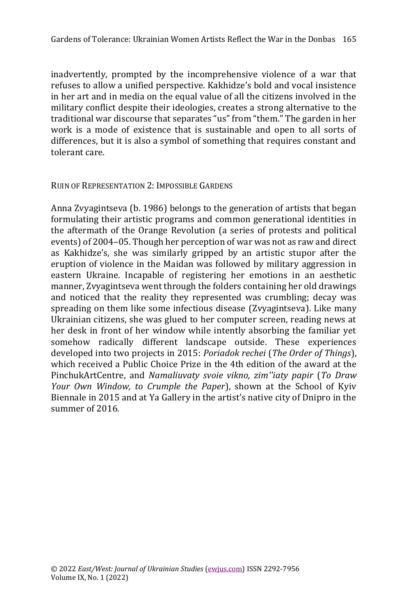inadvertently, prompted by the incomprehensive violence of a war that refuses to allow a unified perspective. Kakhidze's bold and vocal insistence in her art and in media on the equal value of all the citizens involved in the military conflict despite their ideologies, creates a strong alternative to the traditional war discourse that separates "us" from "them." The garden in her work is a mode of existence that is sustainable and open to all sorts of differences, but it is also a symbol of something that requires constant and tolerant care.

## RUIN OF REPRESENTATION 2: IMPOSSIBLE GARDENS

Anna Zvyagintseva (b. 1986) belongs to the generation of artists that began formulating their artistic programs and common generational identities in the aftermath of the Orange Revolution (a series of protests and political events) of 2004–05. Though her perception of war was not as raw and direct as Kakhidze's, she was similarly gripped by an artistic stupor after the eruption of violence in the Maidan was followed by military aggression in eastern Ukraine. Incapable of registering her emotions in an aesthetic manner, Zvyagintseva went through the folders containing her old drawings and noticed that the reality they represented was crumbling; decay was spreading on them like some infectious disease (Zvyagintseva). Like many Ukrainian citizens, she was glued to her computer screen, reading news at her desk in front of her window while intently absorbing the familiar yet somehow radically different landscape outside. These experiences developed into two projects in 2015: *Poriadok rechei* (*The Order of Things*), which received a Public Choice Prize in the 4th edition of the award at the PinchukArtCentre, and *Namaliuvaty svoie vikno, zim''iaty papir* (*To Draw Your Own Window, to Crumple the Paper*), shown at the School of Kyiv Biennale in 2015 and at Ya Gallery in the artist's native city of Dnipro in the summer of 2016.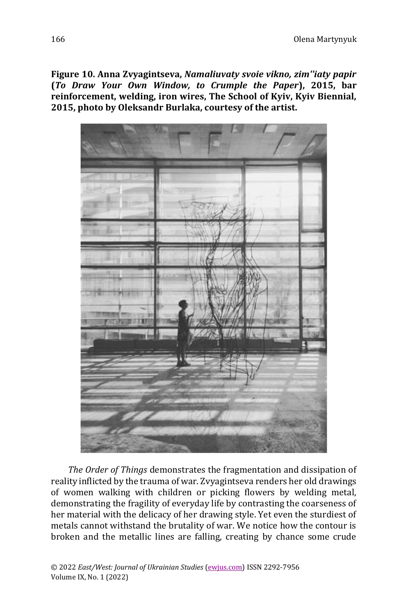**Figure 10. Anna Zvyagintseva,** *Namaliuvaty svoie vikno, zim''iaty papir* **(***To Draw Your Own Window, to Crumple the Paper***), 2015, bar reinforcement, welding, iron wires, The School of Kyiv, Kyiv Biennial, 2015, photo by Oleksandr Burlaka, courtesy of the artist.**



*The Order of Things* demonstrates the fragmentation and dissipation of reality inflicted by the trauma of war. Zvyagintseva renders her old drawings of women walking with children or picking flowers by welding metal, demonstrating the fragility of everyday life by contrasting the coarseness of her material with the delicacy of her drawing style. Yet even the sturdiest of metals cannot withstand the brutality of war. We notice how the contour is broken and the metallic lines are falling, creating by chance some crude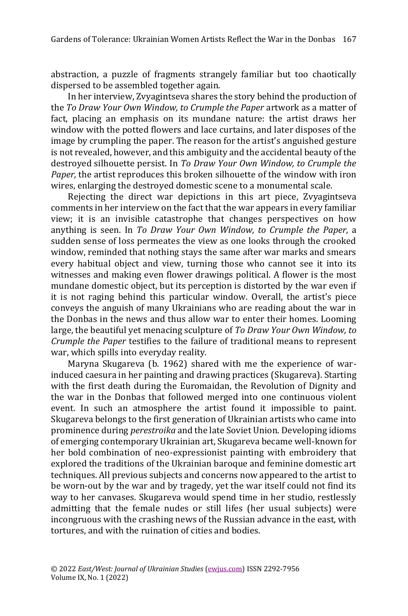abstraction, a puzzle of fragments strangely familiar but too chaotically dispersed to be assembled together again.

In her interview, Zvyagintseva shares the story behind the production of the *To Draw Your Own Window, to Crumple the Paper* artwork as a matter of fact, placing an emphasis on its mundane nature: the artist draws her window with the potted flowers and lace curtains, and later disposes of the image by crumpling the paper. The reason for the artist's anguished gesture is not revealed, however, and this ambiguity and the accidental beauty of the destroyed silhouette persist. In *To Draw Your Own Window, to Crumple the Paper,* the artist reproduces this broken silhouette of the window with iron wires, enlarging the destroyed domestic scene to a monumental scale.

Rejecting the direct war depictions in this art piece, Zvyagintseva comments in her interview on the fact that the war appears in every familiar view; it is an invisible catastrophe that changes perspectives on how anything is seen. In *To Draw Your Own Window, to Crumple the Paper,* a sudden sense of loss permeates the view as one looks through the crooked window, reminded that nothing stays the same after war marks and smears every habitual object and view, turning those who cannot see it into its witnesses and making even flower drawings political. A flower is the most mundane domestic object, but its perception is distorted by the war even if it is not raging behind this particular window. Overall, the artist's piece conveys the anguish of many Ukrainians who are reading about the war in the Donbas in the news and thus allow war to enter their homes. Looming large, the beautiful yet menacing sculpture of *To Draw Your Own Window, to Crumple the Paper* testifies to the failure of traditional means to represent war, which spills into everyday reality.

Maryna Skugareva (b. 1962) shared with me the experience of warinduced caesura in her painting and drawing practices (Skugareva). Starting with the first death during the Euromaidan, the Revolution of Dignity and the war in the Donbas that followed merged into one continuous violent event. In such an atmosphere the artist found it impossible to paint. Skugareva belongs to the first generation of Ukrainian artists who came into prominence during *perestroika* and the late Soviet Union. Developing idioms of emerging contemporary Ukrainian art, Skugareva became well-known for her bold combination of neo-expressionist painting with embroidery that explored the traditions of the Ukrainian baroque and feminine domestic art techniques. All previous subjects and concerns now appeared to the artist to be worn-out by the war and by tragedy, yet the war itself could not find its way to her canvases. Skugareva would spend time in her studio, restlessly admitting that the female nudes or still lifes (her usual subjects) were incongruous with the crashing news of the Russian advance in the east, with tortures, and with the ruination of cities and bodies.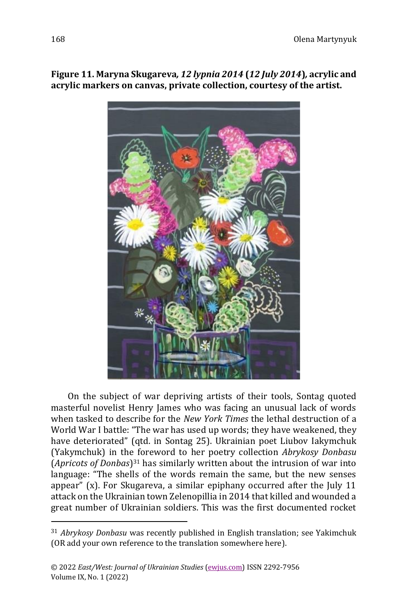

**Figure 11. Maryna Skugareva***, 12 lypnia 2014* **(***12 July 2014***)***,* **acrylic and acrylic markers on canvas, private collection, courtesy of the artist.**

On the subject of war depriving artists of their tools, Sontag quoted masterful novelist Henry James who was facing an unusual lack of words when tasked to describe for the *New York Times* the lethal destruction of a World War I battle: "The war has used up words; they have weakened, they have deteriorated" (qtd. in Sontag 25). Ukrainian poet Liubov Iakymchuk (Yakymchuk) in the foreword to her poetry collection *Abrykosy Donbasu*  (*Apricots of Donbas*) <sup>31</sup> has similarly written about the intrusion of war into language: "The shells of the words remain the same, but the new senses appear" (x). For Skugareva, a similar epiphany occurred after the July 11 attack on the Ukrainian town Zelenopillia in 2014 that killed and wounded a great number of Ukrainian soldiers. This was the first documented rocket

<sup>31</sup> *Abrykosy Donbasu* was recently published in English translation; see Yakimchuk (OR add your own reference to the translation somewhere here).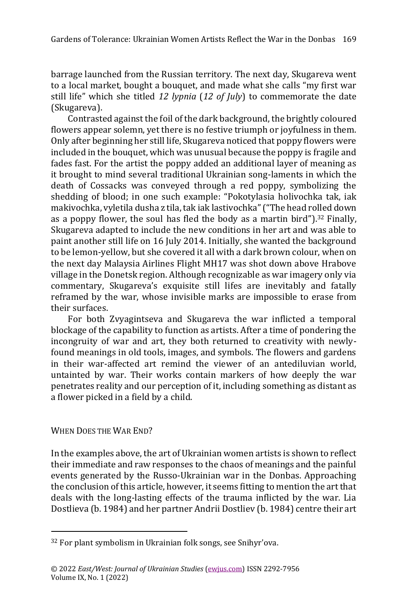barrage launched from the Russian territory. The next day, Skugareva went to a local market, bought a bouquet, and made what she calls "my first war still life" which she titled *12 lypnia* (*12 of July*) to commemorate the date (Skugareva).

Contrasted against the foil of the dark background, the brightly coloured flowers appear solemn, yet there is no festive triumph or joyfulness in them. Only after beginning her still life, Skugareva noticed that poppy flowers were included in the bouquet, which was unusual because the poppy is fragile and fades fast. For the artist the poppy added an additional layer of meaning as it brought to mind several traditional Ukrainian song-laments in which the death of Cossacks was conveyed through a red poppy, symbolizing the shedding of blood; in one such example: "Pokotylasia holivochka tak, iak makivochka, vyletila dusha z tila, tak iak lastivochka"("The head rolled down as a poppy flower, the soul has fled the body as a martin bird").<sup>32</sup> Finally, Skugareva adapted to include the new conditions in her art and was able to paint another still life on 16 July 2014. Initially, she wanted the background to be lemon-yellow, but she covered it all with a dark brown colour, when on the next day Malaysia Airlines Flight MH17 was shot down above Hrabove village in the Donetsk region. Although recognizable as war imagery only via commentary, Skugareva's exquisite still lifes are inevitably and fatally reframed by the war, whose invisible marks are impossible to erase from their surfaces.

For both Zvyagintseva and Skugareva the war inflicted a temporal blockage of the capability to function as artists. After a time of pondering the incongruity of war and art, they both returned to creativity with newlyfound meanings in old tools, images, and symbols. The flowers and gardens in their war-affected art remind the viewer of an antediluvian world, untainted by war. Their works contain markers of how deeply the war penetrates reality and our perception of it, including something as distant as a flower picked in a field by a child.

## WHEN DOES THE WAR END?

In the examples above, the art of Ukrainian women artists is shown to reflect their immediate and raw responses to the chaos of meanings and the painful events generated by the Russo-Ukrainian war in the Donbas. Approaching the conclusion of this article, however, it seems fitting to mention the art that deals with the long-lasting effects of the trauma inflicted by the war. Lia Dostlieva (b. 1984) and her partner Andrii Dostliev (b. 1984) centre their art

<sup>32</sup> For plant symbolism in Ukrainian folk songs, see Snihyr'ova.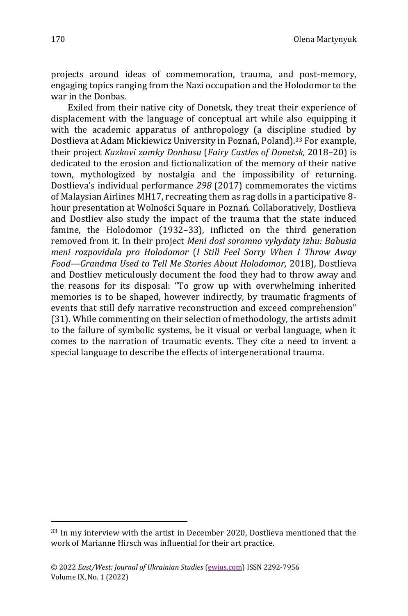projects around ideas of commemoration, trauma, and post-memory, engaging topics ranging from the Nazi occupation and the Holodomor to the war in the Donbas.

Exiled from their native city of Donetsk, they treat their experience of displacement with the language of conceptual art while also equipping it with the academic apparatus of anthropology (a discipline studied by Dostlieva at Adam Mickiewicz University in Poznań, Poland).<sup>33</sup> For example, their project *Kazkovi zamky Donbasu* (*Fairy Castles of Donetsk,* 2018–20) is dedicated to the erosion and fictionalization of the memory of their native town, mythologized by nostalgia and the impossibility of returning. Dostlieva's individual performance *298* (2017) commemorates the victims of Malaysian Airlines MH17, recreating them as rag dolls in a participative 8 hour presentation at Wolności Square in Poznań. Collaboratively, Dostlieva and Dostliev also study the impact of the trauma that the state induced famine, the Holodomor (1932–33), inflicted on the third generation removed from it. In their project *Meni dosi soromno vykydaty izhu: Babusia meni rozpovidala pro Holodomor* (*I Still Feel Sorry When I Throw Away Food—Grandma Used to Tell Me Stories About Holodomor,* 2018), Dostlieva and Dostliev meticulously document the food they had to throw away and the reasons for its disposal: "To grow up with overwhelming inherited memories is to be shaped, however indirectly, by traumatic fragments of events that still defy narrative reconstruction and exceed comprehension" (31). While commenting on their selection of methodology, the artists admit to the failure of symbolic systems, be it visual or verbal language, when it comes to the narration of traumatic events. They cite a need to invent a special language to describe the effects of intergenerational trauma.

<sup>33</sup> In my interview with the artist in December 2020, Dostlieva mentioned that the work of Marianne Hirsch was influential for their art practice.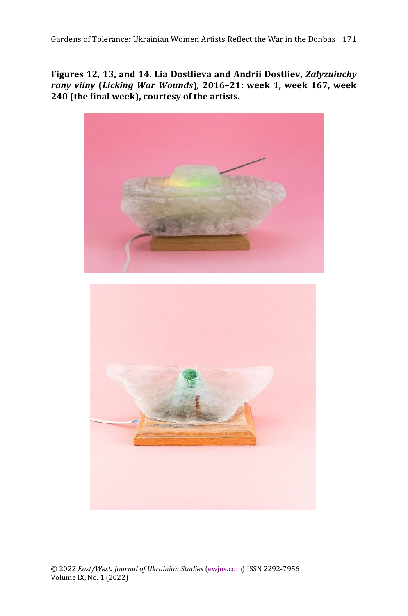**Figures 12, 13, and 14. Lia Dostlieva and Andrii Dostliev,** *Zalyzuiuchy rany viiny* **(***Licking War Wounds***)***,* **2016–21: week 1, week 167, week 240 (the final week), courtesy of the artists.**



© 2022 *East/West: Journal of Ukrainian Studies* [\(ewjus.com\)](http://ewjus.com/) ISSN 2292-7956 Volume IX, No. 1 (2022)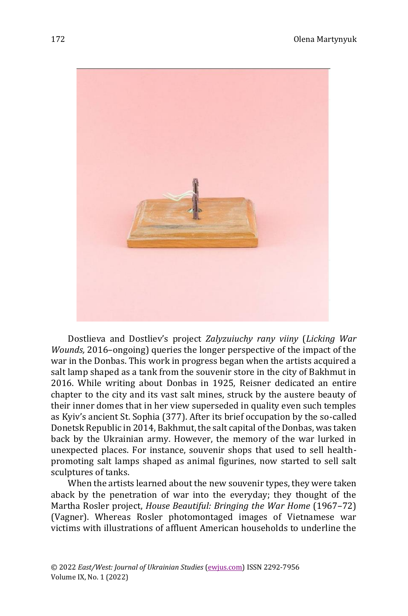

Dostlieva and Dostliev's project *Zalyzuiuchy rany viiny* (*Licking War Wounds,* 2016–ongoing) queries the longer perspective of the impact of the war in the Donbas. This work in progress began when the artists acquired a salt lamp shaped as a tank from the souvenir store in the city of Bakhmut in 2016. While writing about Donbas in 1925, Reisner dedicated an entire chapter to the city and its vast salt mines, struck by the austere beauty of their inner domes that in her view superseded in quality even such temples as Kyiv's ancient St. Sophia (377). After its brief occupation by the so-called Donetsk Republic in 2014, Bakhmut, the salt capital of the Donbas, was taken back by the Ukrainian army. However, the memory of the war lurked in unexpected places. For instance, souvenir shops that used to sell healthpromoting salt lamps shaped as animal figurines, now started to sell salt sculptures of tanks.

When the artists learned about the new souvenir types, they were taken aback by the penetration of war into the everyday; they thought of the Martha Rosler project, *House Beautiful: Bringing the War Home* (1967–72) (Vagner). Whereas Rosler photomontaged images of Vietnamese war victims with illustrations of affluent American households to underline the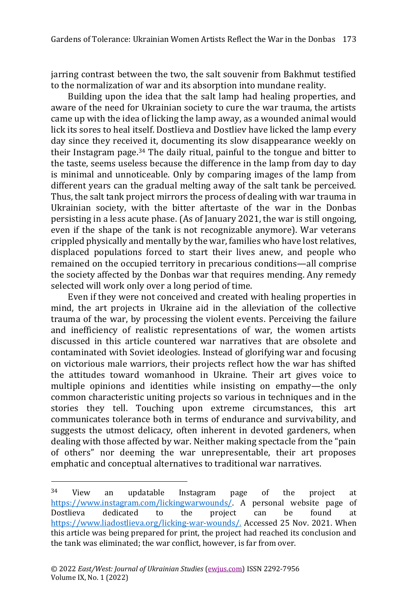jarring contrast between the two, the salt souvenir from Bakhmut testified to the normalization of war and its absorption into mundane reality.

Building upon the idea that the salt lamp had healing properties, and aware of the need for Ukrainian society to cure the war trauma, the artists came up with the idea of licking the lamp away, as a wounded animal would lick its sores to heal itself. Dostlieva and Dostliev have licked the lamp every day since they received it, documenting its slow disappearance weekly on their Instagram page.<sup>34</sup> The daily ritual, painful to the tongue and bitter to the taste, seems useless because the difference in the lamp from day to day is minimal and unnoticeable. Only by comparing images of the lamp from different years can the gradual melting away of the salt tank be perceived. Thus, the salt tank project mirrors the process of dealing with war trauma in Ukrainian society, with the bitter aftertaste of the war in the Donbas persisting in a less acute phase. (As of January 2021, the war is still ongoing, even if the shape of the tank is not recognizable anymore). War veterans crippled physically and mentally by the war, families who have lost relatives, displaced populations forced to start their lives anew, and people who remained on the occupied territory in precarious conditions—all comprise the society affected by the Donbas war that requires mending. Any remedy selected will work only over a long period of time.

Even if they were not conceived and created with healing properties in mind, the art projects in Ukraine aid in the alleviation of the collective trauma of the war, by processing the violent events. Perceiving the failure and inefficiency of realistic representations of war, the women artists discussed in this article countered war narratives that are obsolete and contaminated with Soviet ideologies. Instead of glorifying war and focusing on victorious male warriors, their projects reflect how the war has shifted the attitudes toward womanhood in Ukraine. Their art gives voice to multiple opinions and identities while insisting on empathy—the only common characteristic uniting projects so various in techniques and in the stories they tell. Touching upon extreme circumstances, this art communicates tolerance both in terms of endurance and survivability, and suggests the utmost delicacy, often inherent in devoted gardeners, when dealing with those affected by war. Neither making spectacle from the "pain of others" nor deeming the war unrepresentable, their art proposes emphatic and conceptual alternatives to traditional war narratives.

<sup>34</sup> View an updatable Instagram page of the project at [https://www.instagram.com/lickingwarwounds/.](https://www.instagram.com/lickingwarwounds/) A personal website page of Dostlieva dedicated to the project can be found at [https://www.liadostlieva.org/licking-war-wounds/.](https://www.liadostlieva.org/licking-war-wounds/) Accessed 25 Nov. 2021. When this article was being prepared for print, the project had reached its conclusion and the tank was eliminated; the war conflict, however, is far from over.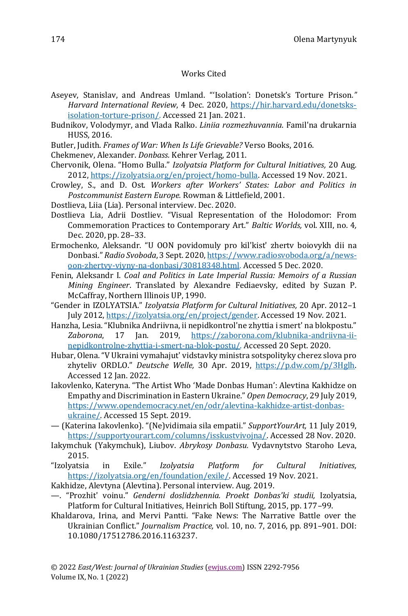#### Works Cited

- Aseyev, Stanislav, and Andreas Umland. "'Isolation': Donetsk's Torture Prison*." Harvard International Review*, 4 Dec. 2020, [https://hir.harvard.edu/donetsks](https://hir.harvard.edu/donetsks-isolation-torture-prison/)[isolation-torture-prison/.](https://hir.harvard.edu/donetsks-isolation-torture-prison/) Accessed 21 Jan. 2021.
- Budnikov, Volodymyr, and Vlada Ralko. *Liniia rozmezhuvannia*. Famil'na drukarnia HUSS, 2016.
- Butler, Judith. *Frames of War: When Is Life Grievable?* Verso Books, 2016.
- Chekmenev, Alexander. *Donbass.* Kehrer Verlag, 2011.
- Chervonik, Olena. "Homo Bulla." *Izolyatsia Platform for Cultural Initiatives,* 20 Aug. 2012, [https://izolyatsia.org/en/project/homo-bulla.](https://izolyatsia.org/en/project/homo-bulla) Accessed 19 Nov. 2021.
- Crowley, S., and D. Ost. *Workers after Workers' States: Labor and Politics in Postcommunist Eastern Europe.* Rowman & Littlefield, 2001.
- Dostlieva, Liia (Lia). Personal interview. Dec. 2020.
- Dostlieva Lia, Adrii Dostliev. "Visual Representation of the Holodomor: From Commemoration Practices to Contemporary Art." *Baltic Worlds,* vol. XIII, no. 4*,* Dec. 2020, pp. 28–33.
- Ermochenko, Aleksandr. "U OON povidomuly pro kil'kist' zhertv boiovykh dii na Donbasi." *Radio Svoboda*, 3 Sept. 2020, [https://www.radiosvoboda.org/a/news](https://www.radiosvoboda.org/a/news-oon-zhertvy-viyny-na-donbasi/30818348.html)[oon-zhertvy-viyny-na-donbasi/30818348.html.](https://www.radiosvoboda.org/a/news-oon-zhertvy-viyny-na-donbasi/30818348.html) Accessed 5 Dec. 2020.
- Fenin, Aleksandr I. *Coal and Politics in Late Imperial Russia: Memoirs of a Russian Mining Engineer*. Translated by Alexandre Fediaevsky, edited by Suzan P. McCaffray, Northern Illinois UP, 1990.
- "Gender in IZOLYATSIA." *Izolyatsia Platform for Cultural Initiatives,* 20 Apr. 2012–1 July 2012[, https://izolyatsia.org/en/project/gender.](https://izolyatsia.org/en/project/gender) Accessed 19 Nov. 2021.
- Hanzha, Lesia. "Klubnika Andriivna, ii nepidkontrol'ne zhyttia i smert' na blokpostu." *Zaborona*, 17 Jan. 2019, [https://zaborona.com/klubnika-andriivna-ii](https://zaborona.com/klubnika-andriivna-ii-nepidkontrolne-zhyttia-i-smert-na-blok-postu/)[nepidkontrolne-zhyttia-i-smert-na-blok-postu/.](https://zaborona.com/klubnika-andriivna-ii-nepidkontrolne-zhyttia-i-smert-na-blok-postu/) Accessed 20 Sept. 2020.
- Hubar, Olena. "V Ukraini vymahajut' vidstavky ministra sotspolityky cherez slova pro zhyteliv ORDLO." *Deutsche Welle,* 30 Apr. 2019, [https://p.dw.com/p/3Hglh.](https://p.dw.com/p/3Hglh)  Accessed 12 Jan. 2022.
- Iakovlenko, Kateryna. "The Artist Who 'Made Donbas Human': Alevtina Kakhidze on Empathy and Discrimination in Eastern Ukraine." *Open Democracy*, 29 July 2019, [https://www.opendemocracy.net/en/odr/alevtina-kakhidze-artist-donbas](https://www.opendemocracy.net/en/odr/alevtina-kakhidze-artist-donbas-ukraine/)[ukraine/.](https://www.opendemocracy.net/en/odr/alevtina-kakhidze-artist-donbas-ukraine/) Accessed 15 Sept. 2019.
- (Katerina Iakovlenko). "(Ne)vidimaia sila empatii." *SupportYourArt,* 11 July 2019, [https://supportyourart.com/columns/isskustvivojna/.](https://supportyourart.com/columns/isskustvivojna/) Accessed 28 Nov. 2020.
- Iakymchuk (Yakymchuk), Liubov. *Abrykosy Donbasu.* Vydavnytstvo Staroho Leva, 2015.
- "Izolyatsia in Exile." *Izolyatsia Platform for Cultural Initiatives,* [https://izolyatsia.org/en/foundation/exile/.](https://izolyatsia.org/en/foundation/exile/) Accessed 19 Nov. 2021.
- Kakhidze, Alevtyna (Alevtina). Personal interview. Aug. 2019.
- —. "Prozhit' voinu." *Genderni doslidzhennia. Proekt Donbas'ki studii,* Izolyatsia, Platform for Cultural Initiatives, Heinrich Boll Stiftung, 2015, pp. 177–99.
- Khaldarova, Irina, and Mervi Pantti. "Fake News: The Narrative Battle over the Ukrainian Conflict." *Journalism Practice,* vol. 10, no. 7, 2016, pp. 891–901. DOI: 10.1080/17512786.2016.1163237.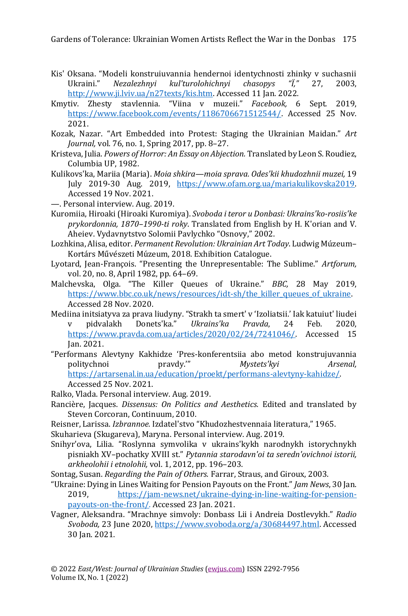- Kis' Oksana. "Modeli konstruiuvannia hendernoi identychnosti zhinky v suchasnii Ukraini." *Nezalezhnyi kul'turolohichnyi chasopys "Ï,"* 27, 2003, [http://www.ji.lviv.ua/n27texts/kis.htm.](http://www.ji.lviv.ua/n27texts/kis.htm) Accessed 11 Jan. 2022.
- Kmytiv. Zhesty stavlennia. "Viina v muzeii." *Facebook,* 6 Sept. 2019, [https://www.facebook.com/events/1186706671512544/.](https://www.facebook.com/events/1186706671512544/) Accessed 25 Nov. 2021.
- Kozak, Nazar. "Art Embedded into Protest: Staging the Ukrainian Maidan." *Art Journal,* vol. 76, no. 1, Spring 2017, pp. 8–27.
- Kristeva, Julia. *Powers of Horror: An Essay on Abjection.* Translated by Leon S. Roudiez, Columbia UP, 1982.
- Kulikovs'ka, Mariia (Maria). *Moia shkira—moia sprava. Odes'kii khudozhnii muzei,* 19 July 2019-30 Aug. 2019, [https://www.ofam.org.ua/mariakulikovska2019.](https://www.ofam.org.ua/mariakulikovska2019)  Accessed 19 Nov. 2021.
- —. Personal interview. Aug. 2019.
- Kuromiia, Hiroaki (Hiroaki Kuromiya). *Svoboda i teror u Donbasi: Ukrains'ko-rosiis'ke prykordonnia, 1870–1990-ti roky*. Translated from English by H. K'orian and V. Aheiev. Vydavnytstvo Solomii Pavlychko "Osnovy," 2002.
- Lozhkina, Alisa, editor. *Permanent Revolution: Ukrainian Art Today*. Ludwig Múzeum– Kortárs Művészeti Múzeum, 2018. Exhibition Catalogue.
- Lyotard, Jean-François. "Presenting the Unrepresentable: The Sublime." *Artforum,* vol. 20, no. 8, April 1982, pp. 64–69.
- Malchevska, Olga. "The Killer Queues of Ukraine." *BBC,* 28 May 2019, [https://www.bbc.co.uk/news/resources/idt-sh/the\\_killer\\_queues\\_of\\_ukraine.](https://www.bbc.co.uk/news/resources/idt-sh/the_killer_queues_of_ukraine) Accessed 28 Nov. 2020.
- Mediina initsiatyva za prava liudyny. "Strakh ta smert' v 'Izoliatsii.' Iak katuiut' liudei v pidvalakh Donets'ka." *Ukrains'ka Pravda*, 24 Feb. 2020, [https://www.pravda.com.ua/articles/2020/02/24/7241046/.](https://www.pravda.com.ua/articles/2020/02/24/7241046/) Accessed 15 Jan. 2021.
- "Performans Alevtyny Kakhidze 'Pres-konferentsiia abo metod konstrujuvannia politychnoi pravdy.'" *Mystets'kyi Arsenal,*  [https://artarsenal.in.ua/education/proekt/performans-alevtyny-kahidze/.](https://artarsenal.in.ua/education/proekt/performans-alevtyny-kahidze/) Accessed 25 Nov. 2021.
- Ralko, Vlada. Personal interview. Aug. 2019.
- Rancière, Jacques. *Dissensus: On Politics and Aesthetics.* Edited and translated by Steven Corcoran, Continuum, 2010.
- Reisner, Larissa. *Izbrannoe.* Izdatel'stvo "Khudozhestvennaia literatura," 1965.
- Skuharieva (Skugareva), Maryna. Personal interview. Aug. 2019.
- Snihyr'ova, Lilia. "Roslynna symvolika v ukrains'kykh narodnykh istorychnykh pisniakh XV–pochatky XVIII st." *Pytannia starodavn'oi ta seredn'ovichnoi istorii, arkheolohii i etnolohii,* vol. 1, 2012, pp. 196–203.
- Sontag, Susan. *Regarding the Pain of Others.* Farrar, Straus, and Giroux, 2003.
- "Ukraine: Dying in Lines Waiting for Pension Payouts on the Front." *Jam News*, 30 Jan. 2019, [https://jam-news.net/ukraine-dying-in-line-waiting-for-pension](https://jam-news.net/ukraine-dying-in-line-waiting-for-pension-payouts-on-the-front/)[payouts-on-the-front/.](https://jam-news.net/ukraine-dying-in-line-waiting-for-pension-payouts-on-the-front/) Accessed 23 Jan. 2021.
- Vagner, Aleksandra. "Mrachnye simvoly: Donbass Lii i Andreia Dostlevykh." *Radio Svoboda,* 23 June 2020, [https://www.svoboda.org/a/30684497.html.](https://www.svoboda.org/a/30684497.html) Accessed 30 Jan. 2021.